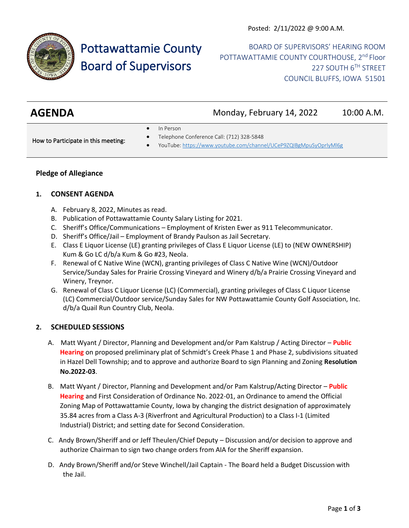

# Pottawattamie County Board of Supervisors

BOARD OF SUPERVISORS' HEARING ROOM POTTAWATTAMIE COUNTY COURTHOUSE, 2<sup>nd</sup> Floor 227 SOUTH 6TH STREET COUNCIL BLUFFS, IOWA 51501

| <b>AGENDA</b> | Monday, February 14, 2022 | 10:00 A.M. |
|---------------|---------------------------|------------|
|               |                           |            |

In Person

How to Participate in this meeting:

- Telephone Conference Call: (712) 328-5848
- YouTube[: https://www.youtube.com/channel/UCeP9ZQIBgMpuSyOprlyMl6g](https://www.youtube.com/channel/UCeP9ZQIBgMpuSyOprlyMl6g)

## **Pledge of Allegiance**

### **1. CONSENT AGENDA**

- A. February 8, 2022, Minutes as read.
- B. Publication of Pottawattamie County Salary Listing for 2021.
- C. Sheriff's Office/Communications Employment of Kristen Ewer as 911 Telecommunicator.
- D. Sheriff's Office/Jail Employment of Brandy Paulson as Jail Secretary.
- E. Class E Liquor License (LE) granting privileges of Class E Liquor License (LE) to (NEW OWNERSHIP) Kum & Go LC d/b/a Kum & Go #23, Neola.
- F. Renewal of C Native Wine (WCN), granting privileges of Class C Native Wine (WCN)/Outdoor Service/Sunday Sales for Prairie Crossing Vineyard and Winery d/b/a Prairie Crossing Vineyard and Winery, Treynor.
- G. Renewal of Class C Liquor License (LC) (Commercial), granting privileges of Class C Liquor License (LC) Commercial/Outdoor service/Sunday Sales for NW Pottawattamie County Golf Association, Inc. d/b/a Quail Run Country Club, Neola.

#### **2. SCHEDULED SESSIONS**

- A. Matt Wyant / Director, Planning and Development and/or Pam Kalstrup / Acting Director **Public Hearing** on proposed preliminary plat of Schmidt's Creek Phase 1 and Phase 2, subdivisions situated in Hazel Dell Township; and to approve and authorize Board to sign Planning and Zoning **Resolution No.2022-03**.
- B. Matt Wyant / Director, Planning and Development and/or Pam Kalstrup/Acting Director **Public Hearing** and First Consideration of Ordinance No. 2022-01, an Ordinance to amend the Official Zoning Map of Pottawattamie County, Iowa by changing the district designation of approximately 35.84 acres from a Class A-3 (Riverfront and Agricultural Production) to a Class I-1 (Limited Industrial) District; and setting date for Second Consideration.
- C. Andy Brown/Sheriff and or Jeff Theulen/Chief Deputy Discussion and/or decision to approve and authorize Chairman to sign two change orders from AIA for the Sheriff expansion.
- D. Andy Brown/Sheriff and/or Steve Winchell/Jail Captain The Board held a Budget Discussion with the Jail.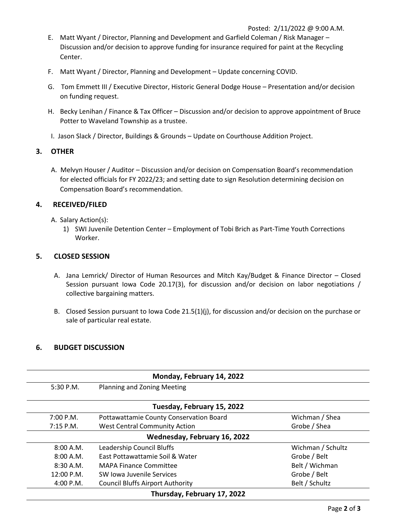- E. Matt Wyant / Director, Planning and Development and Garfield Coleman / Risk Manager Discussion and/or decision to approve funding for insurance required for paint at the Recycling Center.
- F. Matt Wyant / Director, Planning and Development Update concerning COVID.
- G. Tom Emmett III / Executive Director, Historic General Dodge House Presentation and/or decision on funding request.
- H. Becky Lenihan / Finance & Tax Officer Discussion and/or decision to approve appointment of Bruce Potter to Waveland Township as a trustee.
- I. Jason Slack / Director, Buildings & Grounds Update on Courthouse Addition Project.

#### **3. OTHER**

A. Melvyn Houser / Auditor – Discussion and/or decision on Compensation Board's recommendation for elected officials for FY 2022/23; and setting date to sign Resolution determining decision on Compensation Board's recommendation.

#### **4. RECEIVED/FILED**

- A. Salary Action(s):
	- 1) SWI Juvenile Detention Center Employment of Tobi Brich as Part-Time Youth Corrections Worker.

#### **5. CLOSED SESSION**

- A. Jana Lemrick/ Director of Human Resources and Mitch Kay/Budget & Finance Director Closed Session pursuant Iowa Code 20.17(3), for discussion and/or decision on labor negotiations / collective bargaining matters.
- B. Closed Session pursuant to Iowa Code 21.5(1)(j), for discussion and/or decision on the purchase or sale of particular real estate.

#### **6. BUDGET DISCUSSION**

| Monday, February 14, 2022 |                                         |                   |
|---------------------------|-----------------------------------------|-------------------|
| $5:30$ P.M.               | <b>Planning and Zoning Meeting</b>      |                   |
|                           | Tuesday, February 15, 2022              |                   |
| 7:00 P.M.                 | Pottawattamie County Conservation Board | Wichman / Shea    |
| $7:15$ P.M.               | <b>West Central Community Action</b>    | Grobe / Shea      |
|                           | Wednesday, February 16, 2022            |                   |
| 8:00 A.M.                 | Leadership Council Bluffs               | Wichman / Schultz |
| 8:00 A.M.                 | East Pottawattamie Soil & Water         | Grobe / Belt      |
| $8:30$ A.M.               | <b>MAPA Finance Committee</b>           | Belt / Wichman    |
| 12:00 P.M.                | SW Iowa Juvenile Services               | Grobe / Belt      |
| 4:00 P.M.                 | <b>Council Bluffs Airport Authority</b> | Belt / Schultz    |